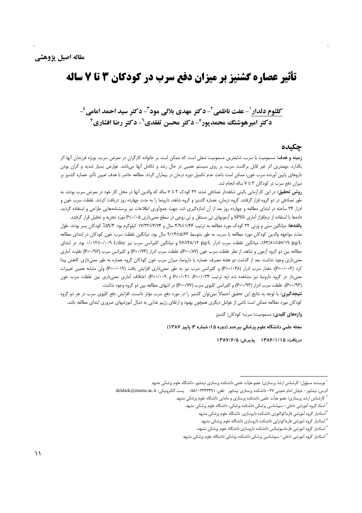# تأثیر عصاره گشنیز بر میزان دفع سرب در کودکان 3 تا 7 ساله

## كلثوم دلدار '- عفت ناظمي ّ- دكتر مهدي بلالي مود ّ- دكتر سيد احمد امامي '-**دکتر امیرهوشنگ محمدپور°- دکتر محسن تفقدی<sup>2</sup>- دکتر رضا افشاری<sup>7</sup>**

#### حكىدە

**زمینه و هدف:** مسمومیت با سرب، شایعترین مسمومیت شغلی است که ممکن است بر خانواده کارگران در معرض سرب، بویژه فرزندان آنها اثر بگذارد. مهمترین اثر غیر قابل برگشت سرب، بر روی سیستم عصبی در حال رشد و تکامل آنها میباشد. عوارض بسیار شدید و گران بودن داروهای پایین آورنده سرب خون، ممکن است باعث عدم تکمیل دوره درمان در بیماران گردد. مطالعه حاضر با هدف تعیین تأثیر عصاره گشنیز بر میزان دفع سرب در کودکان ۳ تا ۷ ساله انجام شد.

**روش تحقیق:** در این کارآزمایی بالینی شاهددار تصادفی شده، ۳۲ کودک ۳ تا ۷ ساله که والدین آنها در محل کار خود در معرض سرب بودند، به طور تصادفی در دو گروه قرار گرفتند. گروه درمان، عصاره گشنیز و گروه شاهد، دارونما را به مدت چهارده روز دریافت کردند. غلظت سرب خون و ادرار ۲۴ ساعته در ابتدای مطالعه و چهارده روز بعد از آن اندازهگیری شد. جهت جمعآوری اطلاعات نیز پرسشنامههایی طراحی و استفاده گردید. دادهها با استفاده از نرم|فزار آماری SPSS و آزمونهای تی مستقل و تی زوجی در سطح معنیداری ۲۰/۰۵−e مورد تجزیه و تحلیل قرار گرفتند.

**یافتهها:** میانگین سنّی و وزنی ۳۲ کودک مورد مطالعه به ترتیب ۶/۹/±۱۴/۷۲ سال و ۱۷/۳۴±۱۷/۳۲ کیلوگرم بود. ۵۹/۴٪ کودکان پسر بودند. طول مدّت مواجهه والدین کودکان مورد مطالعه با سرب، به طور متوسط ۹/۱۴±۵/۶۳ سال بود. میانگین غلظت سرب خون کودکان در ابتدای مطالعه N/۱۹ μg/L، میانگین غلظت سرب ادرار φV±۴۸/۱۲ μg/L و میانگین کلیرانس سرب نیز L/day ۰/۰۱۲±۰/۰۰۹ بود. در ابتدای مطالعه بین دو گروه آزمون و شاهد، از نظر غلظت سرب خون (P=۰/۸۷)، غلظت سرب ادرار (P=۰/۷۳) و کلیرانس سرب (P=۰/۹۶) تفاوت آماری معنیداری وجود نداشت. بعد از گذشت دو هفته مصرف عصاره یا دارونما، میزان سرب خون کودکان گروه عصاره به طور معنیداری کاهش پیدا کرد (۶-۰۰+P)، مقدار سرب ادرار (۲۸-P) و کلیرانس سرب نیز به طور معنیداری افزایش یافت (۶۰-۰/۱۹) ولی مشابه همین تغییرات معنی دار در گروه دارونما نیز مشاهده شد (به ترتیب P=۰/۰۳۴ و P=۰/۰۲۹). اختلاف آماری معنی داری بین غلظت سرب خون (P=٠/٩٣)، غلظت سرب ادرار (P=٠/٩٣) و كليرانس كليوى سرب (P=٠/٧٧) در انتهاى مطالعه بين دو گروه وجود نداشت.

**نتیجهگیری:** با توجه به نتایج این تحقیق احتمالاً نمی¤وان گشنیز را در مورد دفع سرب مؤثر دانست. افزایش دفع کلیوی سرب در هر دو گروه کودکان مورد مطالعه ممکن است ناشی از عوامل دیگری همچون بهبود و ارتقای رژیم غذایی به دنبال آموزشهای ضروری ابتدای مطالعه باشد.

واژههای کلیدی: مسمومیت؛ سرب؛ کودکان؛ گشنیز

مجله علمی دانشگاه علوم پزشکی بیرجند (دوره ۱۵؛ شماره ۳؛ پاییز ۱۳۸۷)

دريافت: ١٣٨۶/١/١٥ \_ يذيرش: ١٣٨٧/٤/٥

<sup>&</sup>lt;sup>۱</sup> نویسنده مسؤول؛ کارشناس ارشد پرستاری؛ عضو هیأت علمی دانشکده پرستاری نیشابور، دانشگاه علوم پزشکی مشهد

آدرس: نيشابور – خيابان امام خميني ٢٧- دانشكده پرستاري نيشابور تلفن: ٣٣٣٣٣٩٩-٥٥١٠ - يست الكترونيكي: deldark@mums.ac.ir

<sup>&</sup>lt;sup>۲</sup> کارشناس ارشد پرستاری؛ عضو هیأت علمی دانشکده پرستاری و مامایی دانشگاه علوم پزشکی مشهد

<sup>&</sup>lt;sup>۳</sup> استاد گروه آموزشی داخلی– سمشناسی پزشکی دانشکده پزشکی، دانشگاه علوم پزشکی مشهد

<sup>&</sup>lt;sup>۴</sup>استادیار گروه آموزشی فارماکوگنوزی دانشکده داروسازی، دانشگاه علوم پزشکی مشهد

<sup>&</sup>lt;sup>۵</sup> استادیار گروه آموزشی فارماکوتراپی دانشکده داروسازی دانشگاه علوم پزشکی مشهد

<sup>&</sup>lt;sup>۶</sup> استادیار گروه آموزشی فارماسیوتیکس دانشکده داروسازی دانشگاه علوم پزشکی مشهد.

<sup>&</sup>lt;sup>۷</sup> استادیار گروه آموزشی داخلی– سمشناسی پزشکی دانشکده پزشکی دانشگاه علوم پزشکی مشهد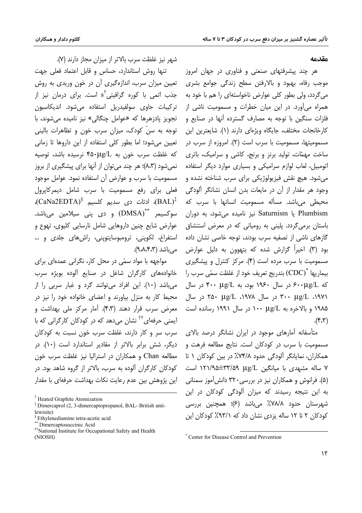#### مقدمه

هر چند پیشرفتهای صنعتی و فناوری در جهان امروز موجب رفاه، بھبود و بالارفتن سطح زندگی جوامع بشری می گردد، ولی بطور کلی عوارض ناخواستهای را هم با خود به همراه می آورد. در این میان خطرات و مسمومیت ناشی از فلزات سنگین با توجه به مصارف گسترده آنها در صنایع و كارخانجات مختلف، جايگاه ويژهای دارند (۱). شايعترين اين مسمومیتها، مسمومیت با سرب است (۲). امروزه از سرب در ساخت مهمّات، تولید برنز و برنج، کاشی و سرامیک، باتری اتومبیل، لعاب لوازم سرامیکی و بسیاری موارد دیگر استفاده مي شود. هيچ نقش فيزيولوژيکي براي سرب شناخته نشده و وجود هر مقدار از آن در مایعات بدن انسان نشانگر آلودگی محیطی می باشد. مسأله مسمومیت انسانها با سرب که Plumbism یا Saturnism نیز نامیده می شود، به دوران باستان برمی گردد. پلینی به رومیانی که در معرض استنشاق گازهای ناشی از تصفیه سرب بودند، توجه خاصی نشان داده بود (۳). اخیراً گزارش شده که بتهوون به دلیل عوارض مسمومیت با سرب مرده است (۴). مرکز کنترل و پیشگیری بيماريها "(CDC) بتدريج تعريف خود از غلظت سمّى سرب را  $\mu$ که ۶۰۰ (بر سال ۱۹۶۰ بود، به ۴۰۰ (بود ۴۰۰ در سال ۰۱۹۷۱، ug/L ۳۰۰ در سال ۱۹۷۸، ug/L ۲۵۰ در سال ۱۹۸۵ و بالاخره به µg/L ۱۰۰ در سال ۱۹۹۱ رسانده است  $(\gamma,\gamma)$ .

متأسفانه آمارهای موجود در ایران نشانگر درصد بالای مسمومیت با سرب در کودکان است. نتایج مطالعه فرهت و همکاران، نمایانگر آلودگی حدود ۷۴/۸٪ در بین کودکان ۱ تا ۷ ساله مشهدی با میانگین us/L ۱۲۱/۹۵±۳۳/۵۹ است (۵). فرانوش و همکاران نیز در بررسی ۳۲۰ دانش آموز سمنانی به این نتیجه رسیدند که میزان آلودگی کودکان در این شهرستان حدود ۷۸/۸٪ میباشد (۶)؛ همچنین بررسی کودکان ۲ تا ۱۲ ساله یزدی نشان داد که ۹۳/۱٪ کودکان این

شهر نيز غلظت سرب بالاتر از ميزان مجاز دارند (٧).

تنها روش استاندارد، حساس و قابل اعتماد فعلی جهت تعیین میزان سرب، اندازهگیری آن در خون وریدی به روش جذب اتمی با کوره گرافیتی<sup>†</sup>s است. برای درمان نیز از تركيبات حاوي سولفيدريل استفاده مي,شود. انديكاسيون تجويز يادزهرها كه «عوامل چنگالي» نيز ناميده مي شوند، با توجه به سنِّ کودک، میزان سرب خون و تظاهرات بالینی تعیین می شود؛ اما بطور کلی استفاده از این داروها تا زمانی که غلظت سرب خون به ۴۵۰μg/L نرسیده باشد، توصیه نمیشود (۸،۳)؛ هر چند می توان از آنها برای پیشگیری از بروز مسمومیت با سرب و عوارض آن استفاده نمود. عوامل موجود فعلی برای رفع مسمومیت با سرب شامل دیمرکایرول (BAL)، ادتات دی سدیم کلسیم  $\text{(CaNa2EDTA)}^{\S}$ )، سوکسیمر \*\*\*(DMSA) و دی پنی سیلامین میباشد. عوارض شایع چنین داروهایی شامل نارسایی کلیوی، تھوع و استفراغ، لکوپنی، ترومبوسایتوپنی، راشهای جلدی و … مے باشد (۹،۸،۴،۳).

مواجهه با مواد سمّی در محل کار، نگرانی عمدهای برای خانوادههای کارگران شاغل در صنایع آلوده بویژه سرب مي باشد (١٠). اين افراد مي توانند گرد و غبار سربي را از محیط کار به منزل بیاورند و اعضای خانواده خود را نیز در معرض سرب قرار دهند (۴،۳). آمار مرکز ملی بهداشت و ایمنی حرفهای<sup>††</sup> نشان میدهد که در کودکان کارگرانی که با سرب سر و کار دارند، غلظت سرب خون نسبت به کودکان دیگر، شش برابر بالاتر از مقادیر استاندارد است (١٠). در مطالعه Chan و همکاران در استرالیا نیز غلظت سرب خون کودکان کارگران آلوده به سرب، بالاتر از گروه شاهد بود. در این پژوهش بین عدم رعایت نکات بهداشت حرفهای با مقدار

<sup>\*</sup> Center for Disease Control and Prevention

<sup>&</sup>lt;sup>†</sup> Heated Graphite Atomization

<sup>&</sup>lt;sup>‡</sup> Dimercaprol (2, 3-dimercaptopropanol, BAL- British antilewisite)

<sup>&</sup>lt;sup>§</sup> Ethylenediamine tetra-acetic acid Dimercaptosuccinic Acid

<sup>&</sup>lt;sup>††</sup>National Institute for Occupational Safety and Health (NIOSH)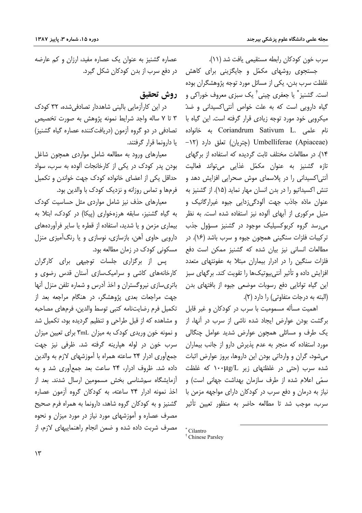سرب خون كودكان رابطه مستقيمي يافت شد (١١).

جستجوی روشهای مکمّل و جایگزینی برای کاهش غلظت سرب بدن، یکی از مسائل مورد توجه پژوهشگران بوده است. گشنیز ٌ یا جعفری چینی ٔ یک سبزی معروف خوراکی و گیاه دارویی است که به علت خواص آنتی(کسیدانی و ضدّ میکروبی خود مورد توجه زیادی قرار گرفته است. این گیاه با نام علمي .Coriandrum Sativum L به خانواده –۱۲ (چتریان) تعلق دارد (۱۲– Umbelliferae (Apiaceae) ١۴). در مطالعات مختلف ثابت گردیده که استفاده از برگهای تازه گشنیز به عنوان مکمّل غذایی میتواند فعالیت آنتی|کسیدانی را در پلاسمای موش صحرایی افزایش دهد و تنش اکسیداتیو را در بدن انسان مهار نماید (۱۵). از گشنیز به عنوان مادّه جاذب جهت آلودگی;دایی جیوه غیرارگانیک و متیل مرکوری از آبهای آلوده نیز استفاده شده است. به نظر میرسد گروه کربوکسیلیک موجود در گشنیز مسؤول جذب ترکیبات فلزات سنگینی همچون جیوه و سرب باشد (۱۶). در مطالعات انسانی نیز بیان شده که گشنیز ممکن است دفع فلزات سنگین را در ادرار بیماران مبتلا به عفونتهای متعدد افزایش داده و تأثیر آنتی بیوتیکها را تقویت کند. برگهای سبز این گیاه توانایی دفع رسوبات موضعی جیوه از بافتهای بدن (البته به درجات متفاوتی) را دارد (۲).

اهمیت مسأله مسمومیت با سرب در کودکان و غیر قابل برگشت بودن عوارض ایجاد شده ناشی از سرب در آنها، از یک طرف و مسائلی همچون عوارض شدید عوامل چنگالی مورد استفاده که منجر به عدم پذیرش دارو از جانب بیماران میشود، گران و وارداتی بودن این داروها، بروز عوارض اثبات شده سرب (حتى در غلظتهاى زير ١٠٠μg/L كه غلظت سمّى اعلام شده از طرف سازمان بهداشت جهانى است) و نیاز به درمان و دفع سرب در کودکان دارای مواجهه مزمن با سرب، موجب شد تا مطالعه حاضر به منظور تعیین تأثیر

عصاره گشنیز به عنوان یک عصاره مفید، ارزان و کم عارضه در دفع سرب از بدن کودکان شکل گیرد.

روش تحقيق

در این کارآزمایی بالینی شاهددار تصادفی شده، ۳۲ کودک ۳ تا ۷ ساله واجد شرایط نمونه پژوهش به صورت تخصیص تصادفی در دو گروه آزمون (دریافتکننده عصاره گیاه گشنیز) یا دارونما قرار گرفتند.

معیارهای ورود به مطالعه شامل مواردی همچون شاغل بودن پدر کودک در یکی از کارخانجات آلوده به سرب، سواد حداقل یکی از اعضای خانواده کودک جهت خواندن و تکمیل فرمها و تماس روزانه و نزدیک کودک با والدین بود.

معیارهای حذف نیز شامل مواردی مثل حساسیت کودک به گیاه گشنیز، سابقه هرزهخواری (پیکا) در کودک، ابتلا به بیماری مزمن و یا شدید، استفاده از قطره یا سایر فرآوردههای دارویی حاوی آهن، بازسازی، نوسازی و یا رنگآمیزی منزل مسکونی کودک در زمان مطالعه بود.

پس از برگزاری جلسات توجیهی برای کارگران کارخانههای کاشی و سرامیکسازی آستان قدس رضوی و باتري سازي نيروگستران و اخذ آدرس و شماره تلفن منزل آنها جهت مراجعات بعدی پژوهشگر، در هنگام مراجعه بعد از تكميل فرم رضايتنامه كتبى توسط والدين، فرمهاى مصاحبه و مشاهده که از قبل طراحی و تنظیم گردیده بود، تکمیل شد و نمونه خون وریدی کودک به میزان ۳mL برای تعیین میزان سرب خون در لوله هیارینه گرفته شد. ظرفی نیز جهت جمع آوري ادرار ٢۴ ساعته همراه با آموزشهاي لازم به والدين داده شد. ظروف ادرار، ۲۴ ساعت بعد جمع آوری شد و به آزمایشگاه سمشناسی بخش مسمومین ارسال شدند. بعد از اخذ نمونه ادرار ٢۴ ساعته، به كودكان گروه آزمون عصاره گشنیز و به کودکان گروه شاهد، دارونما به همراه فرم صحیح مصرف عصاره و آموزشهای مورد نیاز در مورد میزان و نحوه مصرف شربت داده شده و ضمن انجام راهنماییهای لازم، از

<sup>\*</sup> Cilantro

<sup>&</sup>lt;sup>†</sup> Chinese Parsley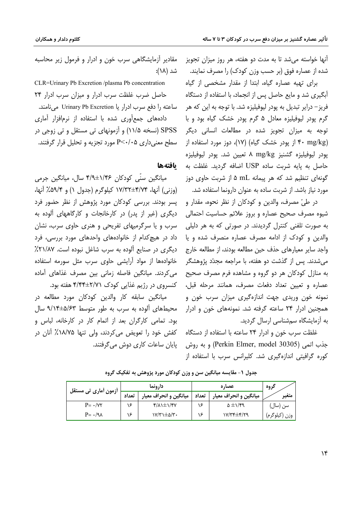آنها خواسته میشد تا به مدت دو هفته، هر روز میزان تجویز شده از عصاره فوق (بر حسب وزن کودک) را مصرف نمایند.

برای تهیه عصاره گیاه، ابتدا از مقدار مشخصی از گیاه آبگیری شد و مایع حاصل پس از انجماد، با استفاده از دستگاه فريز – دراير تبديل به يودر ليوفيليزه شد. با توجه به اين كه هر گرم پودر ليوفيليزه معادل ۵ گرم پودر خشک گياه بود و با توجه به میزان تجویز شده در مطالعات انسانی دیگر ۴۰ mg/kg) باز پودر خشک گیاه) (۱۷)، دوز مورد استفاده از پودر ليوفيليزه گشنيز A mg/kg قعيين شد. پودر ليوفيليزه حاصل به يايه شربت ساده USP اضافه گرديد. غلظت به گونهای تنظیم شد که هر پیمانه mL ۵ از شربت حاوی دوز مورد نیاز باشد. از شربت ساده به عنوان دارونما استفاده شد.

در طيّ مصرف، والدين و كودكان از نظر نحوه، مقدار و شیوه مصرف صحیح عصاره و بروز علائم حساسیت احتمالی به صورت تلفنی کنترل گردیدند. در صورتی که به هر دلیلی والدین و کودک از ادامه مصرف عصاره منصرف شده و یا واجد سایر معیارهای حذف حین مطالعه بودند، از مطالعه خارج میشدند. پس از گذشت دو هفته، با مراجعه مجدّد پژوهشگر به منازل کودکان هر دو گروه و مشاهده فرم مصرف صحیح عصاره و تعیین تعداد دفعات مصرف، همانند مرحله قبل، نمونه خون وریدی جهت اندازهگیری میزان سرب خون و همچنین ادرار ۲۴ ساعته گرفته شد. نمونههای خون و ادرار به آزمایشگاه سمشناسی ارسال گردید.

غلظت سرب خون و ادرار ۲۴ ساعته با استفاده از دستگاه جذب اتمي (Perkin Elmer, model 30305) و به روش کوره گرافیتی اندازهگیری شد. کلیرانس سرب با استفاده از

مقادیر آزمایشگاهی سرب خون و ادرار و فرمول زیر محاسبه شد (۱۸):

CLR=Urinary Pb Excretion /plasma Pb concentration حاصل ضرب غلظت سرب ادرار و میزان سرب ادرار ۲۴ ساعته را دفع سرب ادرار یا Urinary Pb Excretion می نامند. دادههای جمع آوری شده با استفاده از نرمافزار آماری SPSS (نسخه ۱۱/۵) و آزمونهای تی مستقل و تی زوجی در سطح معنیداری P<۰/۰۵ مورد تجزیه و تحلیل قرار گرفتند.

#### بافتهها

ميانگين سنّي کودکان ۱/۴۶±۴/۹ سال، ميانگين جرمي (وزنی) آنها، ۱۷/۳۴±۴/۷۴ کیلوگرم (جدول ۱) و ۵۹/۴٪ آنها، پسر بودند. بررسی کودکان مورد پژوهش از نظر حضور فرد دیگری (غیر از پدر) در کارخانجات و کارگاههای آلوده به سرب و یا سرگرمیهای تفریحی و هنری حاوی سرب، نشان داد در هیچ کدام از خانوادههای واحدهای مورد بررسی، فرد دیگری در صنایع آلوده به سرب شاغل نبوده است. ۲۱/۸۷٪ خانوادهها از مواد آرایشی حاوی سرب مثل سورمه استفاده می کردند. میانگین فاصله زمانی بین مصرف غذاهای آماده کنسروی در رژیم غذایی کودک ۲/۷۱±۴/۴۴ هفته بود.

میانگین سابقه کار والدین کودکان مورد مطالعه در محیطهای آلوده به سرب به طور متوسط ۹/۱۴±۵/۶۳ سال بود. تمامی کارگران بعد از اتمام کار در کارخانه، لباس و کفش خود را تعویض می کردند، ولی تنها ۱۸/۷۵٪ آنان در یایان ساعات کاری دوش می گرفتند.

| أزمون أماري تي مستقل    | دارونما |                                            | عصا, ہ |                             | گروه            |
|-------------------------|---------|--------------------------------------------|--------|-----------------------------|-----------------|
|                         | تعداد   | ميانگين و انحراف معيار                     | تعداد  | میانگین و انحراف معیار      | متغير           |
| $P = \cdot / \nu \tau$  | c       | $f/\lambda$ $\pm$ $\lambda$ / $f$ $\gamma$ | ۱۶     | $\Delta \pm 1/\mathcal{F}9$ | سن (سال)        |
| $P = \cdot / 9 \lambda$ | c       | ۰۳/۳۱±۵/۳۰                                 | ۱۶     | ۲۹/۳۴±۴/۲۹                  | وزن ( کیلو کرم) |

جدول ۱- مقایسه میانگین سن و وزن کودکان مورد پژوهش به تفکیک گروه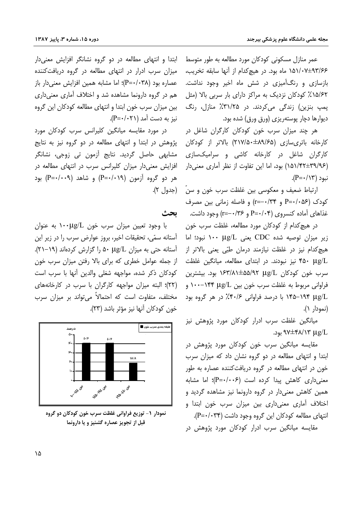عمر منازل مسکونی کودکان مورد مطالعه به طور متوسط ۹۳/۶۶+۱۵۱/۰۷ ماه بود. در هیچکدام از آنها سابقه تخریب، بازسازی و رنگآمیزی در شش ماه اخیر وجود نداشت. ۱۵/۶۲٪ کودکان نزدیک به مراکز دارای بار سربی بالا (مثل یمپ بنزین) زندگی میکردند. در ۳۱/۲۵٪ منازل، رنگ دیوارها دچار پوستهریزی (ورق ورق) شده بود.

هر چند میزان سرب خون کودکان کارگران شاغل در کارخانه باتریسازی (۲۱۷/۵۰±۸۹/۶۵) بالاتر از کودکان کارگران شاغل در کارخانه کاشی و سرامیکسازی (۱۵۱/۴۲±۳۹/۹۶) بود، اما این تفاوت از نظر آماری معنیدار  $(P = \cdot / \sqrt{r})$  نبود

ارتباط ضعيف و معكوسي بين غلظت سرب خون و سنّ (جدول ٢). کودک (P=٠/٠۵۶ و r=-٠/٣۴) و فاصله زمانی بین مصرف غذاهای آماده کنسروی (P=۰/۰۴ و ۲۶–۲=۲) وجود داشت.

در هیچ کدام از کودکان مورد مطالعه، غلظت سرب خون ig میزان توصیه شده CDC یعنی  $\mu$ الا ۱۰۰ نبود؛ اما هيچ كدام نيز در غلظت نيازمند درمان طبّى يعنى بالاتر از ۴۵۰ µg/L نیز نبودند. در ابتدای مطالعه، میانگین غلظت سرب خون کودکان μg/L (۱۶۳/۸۱±۵۵/۹۲ بود. بیشترین فراوانی مربوط به غلظت سرب خون بین ۱۴۴ با ۱۰۰–۱۰۰ و .19/L ۱۹۴–۱۴۵ با درصد فراوانی ۶/۴۰/۶٪ در هر گروه بود (نمودار ۱).

میانگین غلظت سرب ادرار کودکان مورد پژوهش نیز .9V±۴۸/۱۳ µg/L بود.

مقایسه میانگین سرب خون کودکان مورد پژوهش در ابتدا و انتهای مطالعه در دو گروه نشان داد که میزان سرب خون در انتهای مطالعه در گروه دریافتکننده عصاره به طور معنی داری کاهش پیدا کرده است (P=٠/٠٠۶)؛ اما مشابه همین کاهش معنی دار در گروه دارونما نیز مشاهده گردید و اختلاف آماری معنیداری بین میزان سرب خون ابتدا و انتهای مطالعه کودکان این گروه وجود داشت (P=٠/٠۳۴). مقایسه میانگین سرب ادرار کودکان مورد پژوهش در

ابتدا و انتهای مطالعه در دو گروه نشانگر افزایش معنیدار میزان سرب ادرار در انتهای مطالعه در گروه دریافت کننده عصاره بود (P=٠/٠٣٨)؛ اما مشابه همین افزایش معنی دار باز هم در گروه دارونما مشاهده شد و اختلاف آماری معنیداری بین میزان سرب خون ابتدا و انتهای مطالعه کودکان این گروه  $(P = \cdot / \cdot \cdot \cdot)$  نیز به دست آمد

در مورد مقایسه میانگین کلیرانس سرب کودکان مورد پژوهش در ابتدا و انتهای مطالعه در دو گروه نیز به نتایج مشابھی حاصل گردید. نتایج آزمون تی زوجی، نشانگر افزایش معنیدار میزان کلیرانس سرب در انتهای مطالعه در هر دو گروه آزمون (۱۹+++P) و شاهد (۹++++P) بود

تحث

با وجود تعیین میزان سرب خون ۱۰۰ $\mu$ g/L به عنوان آستانه سمّى، تحقيقات اخير، بروز عوارض سرب را در زير اين آستانه حتی به میزان A۰ µg/L (گزارش کردهاند (۱۹–۲۱). از جمله عوامل خطری که برای بالا رفتن میزان سرب خون كودكان ذكر شده، مواجهه شغلي والدين أنها با سرب است (٢٢)؛ البته میزان مواجهه کارگران با سرب در کارخانههای مختلف، متفاوت است که احتمالاً می تواند بر میزان سرب خون كودكان آنها نيز مؤثر باشد (٢٣).



نمودار ١- توزيع فراواني غلظت سرب خون كودكان دو گروه قبل از تجویز عصاره گشنیز و یا دارونما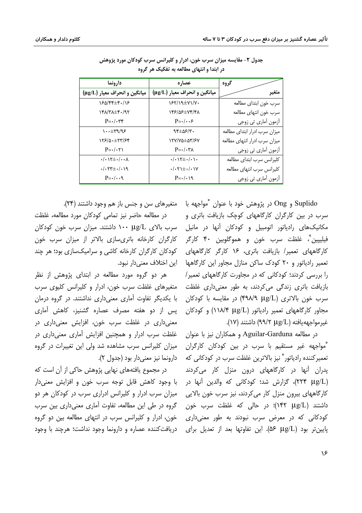| دارونما                                                   | عصاره                                            | گروه                          |
|-----------------------------------------------------------|--------------------------------------------------|-------------------------------|
| میانگین و انحراف معیار (µg/L)                             | میانگین و انحراف معیار (µg/L)                    | متغير                         |
| 180/44±4.118                                              | $YY/\sqrt{4Y}$                                   | سرب خون ابتداى مطالعه         |
| 141.771 197                                               | 145/05±74/41                                     | سرب خون انتهاى مطالعه         |
| $P = \cdot / \cdot \tau$                                  | $P = \cdot / \cdot \cdot$                        | آزمون آمار <i>ی</i> تی زوجی   |
| $\cdots \pm rq/q$                                         | $95\pm05/8$ .                                    | میزان سرب ادرار ابتدای مطالعه |
| 178/0.±77/84                                              | 17Y/YQ±Q7'/۶Y                                    | میزان سرب ادرار انتهای مطالعه |
| $P = \cdot / \cdot \tau$                                  | $P = \cdot / \cdot \tau \wedge$                  | أزمون أماري تي زوجي           |
| $\cdot/\cdot$ ) $\uparrow \pm$ $\cdot/\cdot \cdot \wedge$ | $\cdot/\cdot$ \\t $\pm\cdot/\cdot\setminus\cdot$ | كليرانس سرب ابتداى مطالعه     |
| $.7.1 + 77 + .79$                                         | $\cdot/\cdot\tau$ + $\pm\cdot/\cdot$ ) Y         | كليرانس سرب انتهاى مطالعه     |
| $P = \cdot / \cdot \cdot$                                 | $P = \cdot / \cdot \sqrt{9}$                     | أزمون أماري تي زوجي           |

جدول ۲- مقایسه میزان سرب خون، ادرار و کلیرانس سرب کودکان مورد پژوهش در ابتدا و انتهای مطالعه به تفکیک هر گروه

Suplido و Ong در پژوهش خود با عنوان  $\degree$ مواجهه با سرب در بین کارگران کارگاههای کوچک بازیافت باتری و مکانیکهای رادیاتور اتومبیل و کودکان آنها در مانیل فيليپين ؓ، غلظت سرب خون و هموگلوبين ۴۰ كارگر کارگاههای تعمیر/ بازیافت باتری، ۱۶ کارگر کارگاههای تعمیر رادیاتور و ۲۰ کودک ساکن منازل مجاور این کارگاهها هاین اختلاف معنی دار نبود. را بررسی کردند؛ کودکانی که در مجاورت کارگاههای تعمیر/ بازیافت باتری زندگی میکردند، به طور معنیداری غلظت سرب خون بالاترى (۴۹۸/۹ µg/L) در مقايسه با كودكان مجاور کارگاههای تعمیر رادیاتور (۱۱۸/۴ ۱۱۸/۴) و کودکان غيرمواجههيافته (٩٩/٢ ٩٩/٢) داشتند (١٧).

در مطالعه Aguilar-Garduna و همکاران نیز با عنوان "مواجهه غیر مستقیم با سرب در بین کودکان کارگران تعمير كننده رادياتور " نيز بالاترين غلظت سرب در كودكاني كه دارونما نيز معنىدار بود (جدول ٢). پدران آنها در کارگاههای درون منزل کار میکردند (٢٢۴ μg/L)، گزارش شد؛ کودکانی که والدین آنها در کارگاههای بیرون منزل کار میکردند، نیز سرب خون بالایی داشتند (۱۴۲ ۱۴۲)؛ در حالی که غلظت سرب خون کودکانی که در معرض سرب نبودند به طور معنیداری یایین تر بود (pş/L). این تفاوتها بعد از تعدیل برای

ِ متغیرهای سن و جنس باز هم وجود داشتند (۲۴).

در مطالعه حاضر نيز تمامى كودكان مورد مطالعه، غلظت سرب بالای µg/L ۱۰۰ داشتند. میزان سرب خون کودکان كارگران كارخانه باترىسازى بالاتر از ميزان سرب خون کودکان کارگران کارخانه کاشی و سرامیکسازی بود؛ هر چند

هر دو گروه مورد مطالعه در ابتدای پژوهش از نظر متغیرهای غلظت سرب خون، ادرار و کلیرانس کلیوی سرب با یکدیگر تفاوت آماری معنی داری نداشتند. در گروه درمان پس از دو هفته مصرف عصاره گشنیز، کاهش آماری معنیداری در غلظت سرب خون، افزایش معنیداری در غلظت سرب ادرار و همچنین افزایش آماری معنیداری در میزان کلیرانس سرب مشاهده شد ولی این تغییرات در گروه

در مجموع یافتههای نهایی پژوهش حاکی از آن است که با وجود كاهش قابل توجه سرب خون و افزايش معنىدار میزان سرب ادرار و کلیرانس ادراری سرب در کودکان هر دو گروه در طی این مطالعه، تفاوت آماری معنیداری بین سرب خون، ادرار و کلیرانس سرب در انتهای مطالعه بین دو گروه دریافت کننده عصاره و دارونما وجود نداشت؛ هرچند با وجود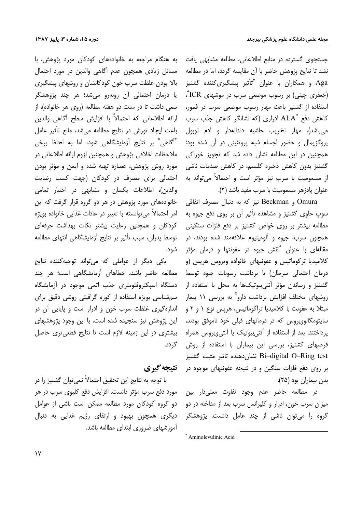جستجوی گسترده در منابع اطلاعاتی، مطالعه مشابهی یافت نشد تا نتايج پژوهش حاضر با آن مقايسه گردد، اما در مطالعه Aga و همکاران با عنوان <sup>«</sup>تأثیر پیشگیریکننده گشنیز (جعفری چینی) بر رسوب موضعی سرب در موشهای ICR°، استفاده از گشنیز باعث مهار رسوب موضعی سرب در فمور، کاهش دفع \*ALA ادراری (که نشانگر کاهش جذب سرب مي باشد)، مهار تخريب حاشيه دندانهدار و ادم توبول پروگزیمال و حضور اجسام شبه پروتئینی در آن شده بود؛ همچنین در این مطالعه نشان داده شد که تجویز خوراکی گشنیز بدون کاهش ذخیره کلسیم، در کاهش صدمات ناشی از مسمومیت با سرب نیز مؤثر است و احتمالاً می تواند به عنوان يادزهر مسموميت با سرب مفيد باشد (٢).

Omura و Beckman نيز كه به دنبال مصرف اتفاقى سوپ حاوی گشنیز و مشاهده تأثیر آن بر روی دفع جیوه به مطالعه بیشتر بر روی خواص گشنیز بر دفع فلزات سنگینی همچون سرب، جیوه و آلومینیوم علاقهمند شده بودند، در مقالهای با عنوان  $\degree$ نقش جیوه در عفونتها و درمان مؤثر كلاميديا تركوماتيس و عفونتهاى خانواده ويروس هرپس (و درمان احتمالی سرطان) با برداشت رسوبات جیوه توسط گشنیز و رساندن مؤثر آنتی بیوتیکها به محل با استفاده از روشهای مختلف افزایش برداشت دارو ٌ به بررسی ۱۱ بیمار مبتلا به عفونت با كلاميديا تراكوماتيس، هرپس نوع ۱ و ۲ و سایتومگالوویروس که در درمانهای قبلی خود ناموفق بودند، پرداختند. بعد از استفاده از آنتیبیوتیک یا آنتیویروس همراه قرصهای گشنیز، بررسی این بیماران با استفاده از روش Bi–digital O–Ring test نشان دهنده تاثیر مثبت گشنیز بر روی دفع فلزات سنگین و در نتیجه عفونتهای موجود در بدن بیماران بود (۲۵).

در مطالعه حاضر عدم وجود تفاوت معنىدار بين میزان سرب خون، ادرار و کلیرانس سرب بعد از مداخله در دو گروه را میٍتوان ناشی از چند عامل دانست. پژوهشگر

به هنگام مراجعه به خانوادههای کودکان مورد پژوهش، با مسائل زیادی همچون عدم آگاهی والدین در مورد احتمال بالا بودن غلظت سرب خون کودکانشان و روشهای پیشگیری یا درمان احتمالی آن روبهرو میشد؛ هر چند پژوهشگر سعی داشت تا در مدت دو هفته مطالعه (روی هر خانواده)، از ارائه اطلاعاتی که احتمالاً با افزایش سطح آگاهی والدین باعث ایجاد تورش در نتایج مطالعه می شد، مانع تأثیر عامل "آگاهی" بر نتایج آزمایشگاهی شود، اما به لحاظ برخی ملاحظات اخلاقی پژوهش و همچنین لزوم ارائه اطلاعاتی در مورد روش پژوهش، عصاره تهیه شده و ایمن و مؤثر بودن احتمالی برای مصرف در کودکان (جهت کسب رضایت والدین)، اطلاعات یکسان و مشابهی در اختیار تمامی خانوادههای مورد پژوهش در هر دو گروه قرار گرفت که این امر احتمالاً مىتوانسته با تغيير در عادات غذايى خانواده بويژه کودکان و همچنین رعایت بیشتر نکات بهداشت حرفهای توسط يدران، سبب تأثير بر نتايج أزمايشگاهي انتهاي مطالعه شود.

یکی دیگر از عواملی که میتواند توجیهکننده نتایج مطالعه حاضر باشد، خطاهای آزمایشگاهی است؛ هر چند دستگاه اسیکتروفتومتری جذب اتمی موجود در آزمایشگاه سمشناسی بویژه استفاده از کوره گرافیتی روشی دقیق برای اندازهگیری غلظت سرب خون و ادرار است و پایایی آن در این پژوهش نیز سنجیده شده است، با این وجود پژوهشهای بیشتری در این زمینه لازم است تا نتایج قطعی تری حاصل گردد.

### نتيجه گيري

با توجه به نتايج اين تحقيق احتمالاً نمي توان گشنيز را در مورد دفع سرب مؤثر دانست. افزایش دفع کلیوی سرب در هر دو گروه کودکان مورد مطالعه ممکن است ناشی از عوامل دیگری همچون بهبود و ارتقای رژیم غذایی به دنبال آموزشهای ضروری ابتدای مطالعه باشد.

<sup>\*</sup> Aminolevulinic Acid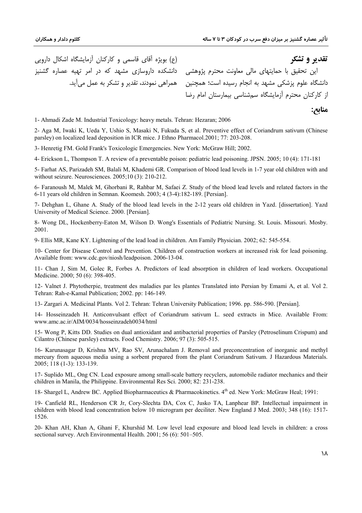**&9-1 &=1**

**منابع:** 

این تحقیق با حمایتهای مالی معاونت محترم پژوهشی دانشکده داروسازی مشهد که در امر تهیه عصاره گشنیز (ع) بویژه آقای قاسمی و کارکنان آزمایشگاه اشکال دارویی

دانشگاه علوم پزشکی مشهد به انجام رسیده است؛ همچنین همراهی نمودند، تقدیر و تشکر به عمل می[ید. از کارکنان محترم آزمایشگاه سمشناسی بیمارستان امام رضا

1- Ahmadi Zade M. Industrial Toxicology: heavy metals. Tehran: Hezaran; 2006

2- Aga M, Iwaki K, Ueda Y, Ushio S, Masaki N, Fukuda S, et al. Preventive effect of Coriandrum sativum (Chinese parsley) on localized lead deposition in ICR mice. J Ethno Pharmacol.2001; 77: 203-208.

3- Henretig FM. Gold Frank's Toxicologic Emergencies. New York: McGraw Hill; 2002.

4- Erickson L, Thompson T. A review of a preventable poison: pediatric lead poisoning. JPSN. 2005; 10 (4): 171-181

5- Farhat AS, Parizadeh SM, Balali M, Khademi GR. Comparison of blood lead levels in 1-7 year old children with and without seizure. Neurosciences. 2005;10 (3): 210-212.

6- Faranoush M, Malek M, Ghorbani R, Rahbar M, Safaei Z. Study of the blood lead levels and related factors in the 6-11 years old children in Semnan. Koomesh. 2003; 4 (3-4):182-189. [Persian].

7- Dehghan L, Ghane A. Study of the blood lead levels in the 2-12 years old children in Yazd. [dissertation]. Yazd University of Medical Science. 2000. [Persian].

8- Wong DL, Hockenberry-Eaton M, Wilson D. Wong's Essentials of Pediatric Nursing. St. Louis. Missouri. Mosby. 2001.

9- Ellis MR, Kane KY. Lightening of the lead load in children. Am Family Physician. 2002; 62: 545-554.

10- Center for Disease Control and Prevention. Children of construction workers at increased risk for lead poisoning. Available from: www.cdc.gov/niosh/leadpoison. 2006-13-04.

11- Chan J, Sim M, Golec R, Forbes A. Predictors of lead absorption in children of lead workers. Occupational Medicine. 2000; 50 (6): 398-405.

12- Valnet J. Phytotherpie, treatment des maladies par les plantes Translated into Persian by Emami A, et al. Vol 2. Tehran: Rah-e-Kamal Publication; 2002. pp: 146-149.

13- Zargari A. Medicinal Plants. Vol 2. Tehran: Tehran University Publication; 1996. pp. 586-590. [Persian].

14- Hosseinzadeh H. Anticonvulsant effect of Coriandrum sativum L. seed extracts in Mice. Available From: www.amc.ac.ir/AIM/0034/hosseinzadeh0034/html

15- Wong P, Kitts DD. Studies on dual antioxidant and antibacterial properties of Parsley (Petroselinum Crispum) and Cilantro (Chinese parsley) extracts. Food Chemistry. 2006; 97 (3): 505-515.

16- Karunasagar D, Krishna MV, Rao SV, Arunachalam J. Removal and preconcentration of inorganic and methyl mercury from aqueous media using a sorbent prepared from the plant Coriandrum Sativum. J Hazardous Materials. 2005; 118 (1-3): 133-139.

17- Suplido ML, Ong CN. Lead exposure among small-scale battery recyclers, automobile radiator mechanics and their children in Manila, the Philippine. Environmental Res Sci. 2000; 82: 231-238.

18- Shargel L, Andrew BC. Applied Biopharmaceutics & Pharmacokinetics. 4th ed. New York: McGraw Heal; 1991:

19- Canfield RL, Henderson CR Jr, Cory-Slechta DA, Cox C, Jusko TA, Lanphear BP. Intellectual impairment in children with blood lead concentration below 10 microgram per deciliter. New England J Med. 2003; 348 (16): 1517- 1526.

20- Khan AH, Khan A, Ghani F, Khurshid M. Low level lead exposure and blood lead levels in children: a cross sectional survey. Arch Environmental Health. 2001; 56 (6): 501–505.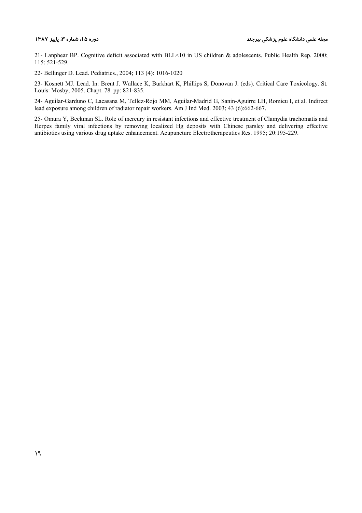21- Lanphear BP. Cognitive deficit associated with BLL<10 in US children & adolescents. Public Health Rep. 2000; 115: 521-529.

22- Bellinger D. Lead. Pediatrics., 2004; 113 (4): 1016-1020

23- Kosnett MJ. Lead. In: Brent J. Wallace K, Burkhart K, Phillips S, Donovan J. (eds). Critical Care Toxicology. St. Louis: Mosby; 2005. Chapt. 78. pp: 821-835.

24- Aguilar-Garduno C, Lacasana M, Tellez-Rojo MM, Aguilar-Madrid G, Sanin-Aguirre LH, Romieu I, et al. Indirect lead exposure among children of radiator repair workers. Am J Ind Med. 2003; 43 (6):662-667.

25- Omura Y, Beckman SL. Role of mercury in resistant infections and effective treatment of Clamydia trachomatis and Herpes family viral infections by removing localized Hg deposits with Chinese parsley and delivering effective antibiotics using various drug uptake enhancement. Acupuncture Electrotherapeutics Res. 1995; 20:195-229.